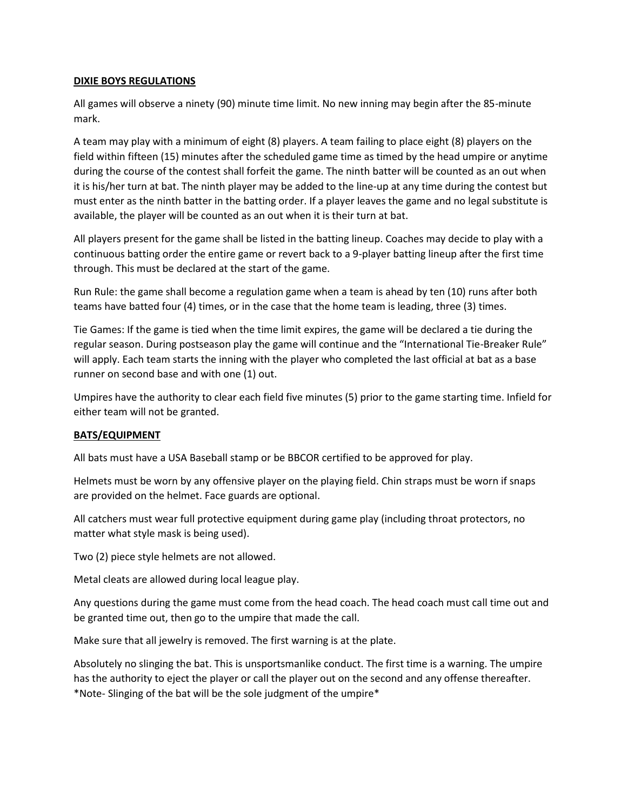## **DIXIE BOYS REGULATIONS**

All games will observe a ninety (90) minute time limit. No new inning may begin after the 85-minute mark.

A team may play with a minimum of eight (8) players. A team failing to place eight (8) players on the field within fifteen (15) minutes after the scheduled game time as timed by the head umpire or anytime during the course of the contest shall forfeit the game. The ninth batter will be counted as an out when it is his/her turn at bat. The ninth player may be added to the line-up at any time during the contest but must enter as the ninth batter in the batting order. If a player leaves the game and no legal substitute is available, the player will be counted as an out when it is their turn at bat.

All players present for the game shall be listed in the batting lineup. Coaches may decide to play with a continuous batting order the entire game or revert back to a 9-player batting lineup after the first time through. This must be declared at the start of the game.

Run Rule: the game shall become a regulation game when a team is ahead by ten (10) runs after both teams have batted four (4) times, or in the case that the home team is leading, three (3) times.

Tie Games: If the game is tied when the time limit expires, the game will be declared a tie during the regular season. During postseason play the game will continue and the "International Tie-Breaker Rule" will apply. Each team starts the inning with the player who completed the last official at bat as a base runner on second base and with one (1) out.

Umpires have the authority to clear each field five minutes (5) prior to the game starting time. Infield for either team will not be granted.

## **BATS/EQUIPMENT**

All bats must have a USA Baseball stamp or be BBCOR certified to be approved for play.

Helmets must be worn by any offensive player on the playing field. Chin straps must be worn if snaps are provided on the helmet. Face guards are optional.

All catchers must wear full protective equipment during game play (including throat protectors, no matter what style mask is being used).

Two (2) piece style helmets are not allowed.

Metal cleats are allowed during local league play.

Any questions during the game must come from the head coach. The head coach must call time out and be granted time out, then go to the umpire that made the call.

Make sure that all jewelry is removed. The first warning is at the plate.

Absolutely no slinging the bat. This is unsportsmanlike conduct. The first time is a warning. The umpire has the authority to eject the player or call the player out on the second and any offense thereafter. \*Note- Slinging of the bat will be the sole judgment of the umpire\*